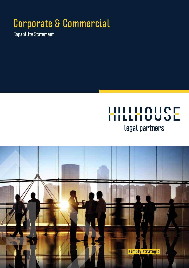## **Corporate & Commercial**

**Capability Statement** 

## HILLHOUSE legal partners

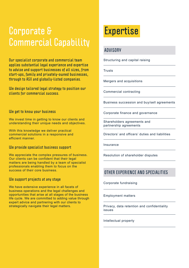## **Corporate & Commercial Capability**

**Our specialist corporate and commercial team applies substantial legal experience and expertise to advise and support businesses of all sizes, from start-ups, family and privately-owned businesses, through to ASX and globally-listed companies.** 

**We design tailored legal strategy to position our clients for commercial success.** 

#### **We get to know your business**

We invest time in getting to know our clients and understanding their unique needs and objectives.

With this knowledge we deliver practical commercial solutions in a responsive and efficient manner.

#### **We provide specialist business support**

We appreciate the complex pressures of business. Our clients can be confident that their legal matters are being handled by a team of specialist professionals enabling them to focus on the success of their core business.

#### **We support projects at any stage**

We have extensive experience in all facets of business operations and the legal challenges and opportunities that arise at all stages of the business life cycle. We are committed to adding value through expert advice and partnering with our clients to strategically navigate their legal matters.

## **Expertise**

#### **ADVISORY**

Structuring and capital raising

**Trusts** 

Mergers and acquisitions

Commercial contracting

Business succession and buy/sell agreements

Corporate finance and governance

Shareholders agreements and partnership agreements

Directors' and officers' duties and liabilities

Insurance

Resolution of shareholder disputes

#### **OTHER EXPERIENCE AND SPECIALITIES**

Corporate fundraising

#### Employment matters

Privacy, data retention and confidentiality issues

Intellectual property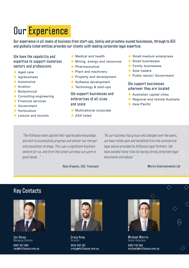## **Our Experience**

**Our experience in all levels of business from start-ups, family and privately-owned businesses, through to ASX and globally listed entities provides our clients with leading corporate legal expertise.** 

#### **We have the capability and expertise to support numerous sectors and professions:**

- ◆ Aged care
- ◆ Agribusiness
- ◆ Automotive
- $\triangle$  Aviation
- ◆ Biotechnical
- ◆ Consulting engineering
- ◆ Financial services
- ◆ Government
- ◆ Horticulture
- **← Leisure and tourism**
- ◆ Medical and health
- **Mining, energy and resources**
- ◆ Pharmaceutical
- ◆ Plant and machinery
- Property and development
- ◆ Software development
- ◆ Technology & start-ups

**We support businesses and enterprises of all sizes and scale:** 

- Multinational corporate
- ◆ ASX listed
- ◆ Small-medium enterprises
- ◆ Small businesses
- ◆ Family businesses
- ◆ Sole traders
- Public sector/ Government

#### **We support businesses wherever they are located:**

- ◆ Australian capital cities
- ◆ Regional and remote Australia
- $\triangle$  Asia Pacific

"The Hillhouse team applied their appreciable knowledge and skill to successfully progress and deliver our merger and acquisition strategy. This was a significant business venture for us, and from the outset we knew we were in good hands…."

**Ross Grayson, CEO, Transcale**

"As our business has grown and changed over the years, we have relied upon and benefited from the commercial legal advice provided by Hillhouse Legal Partners. We have avoided many risks by having strong corporate legal documents and advice."

**Merlin Entertainments Ltd**

#### **Key Contacts**



**Zac Herps**  Managing Director

**0407 437 484 zac@hillhouse.com.au**



**Craig Hong Director 0433 942 361 craig@hillhouse.com.au**



**Michael Morris**  Senior Associate **0402 735 943**

**michael@hillhouse.com.au**